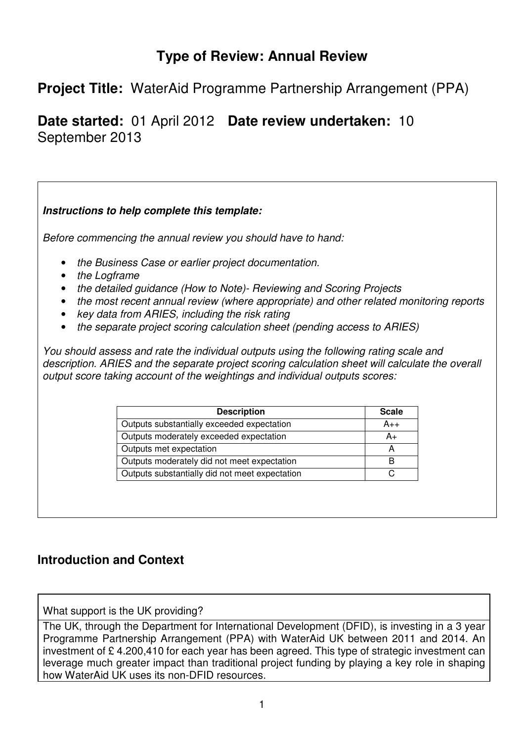# **Type of Review: Annual Review**

# **Project Title:** WaterAid Programme Partnership Arrangement (PPA)

**Date started:** 01 April 2012 **Date review undertaken:** 10 September 2013

## **Instructions to help complete this template:**

*Before commencing the annual review you should have to hand:* 

- *the Business Case or earlier project documentation.*
- *the Logframe*
- *the detailed guidance (How to Note)- Reviewing and Scoring Projects*
- *the most recent annual review (where appropriate) and other related monitoring reports*
- *key data from ARIES, including the risk rating*
- *the separate project scoring calculation sheet (pending access to ARIES)*

*You should assess and rate the individual outputs using the following rating scale and description. ARIES and the separate project scoring calculation sheet will calculate the overall output score taking account of the weightings and individual outputs scores:* 

| <b>Description</b>                             | <b>Scale</b> |
|------------------------------------------------|--------------|
| Outputs substantially exceeded expectation     | A++          |
| Outputs moderately exceeded expectation        | A+           |
| Outputs met expectation                        |              |
| Outputs moderately did not meet expectation    | R            |
| Outputs substantially did not meet expectation |              |

## **Introduction and Context**

What support is the UK providing?

The UK, through the Department for International Development (DFID), is investing in a 3 year Programme Partnership Arrangement (PPA) with WaterAid UK between 2011 and 2014. An investment of £ 4.200,410 for each year has been agreed. This type of strategic investment can leverage much greater impact than traditional project funding by playing a key role in shaping how WaterAid UK uses its non-DFID resources.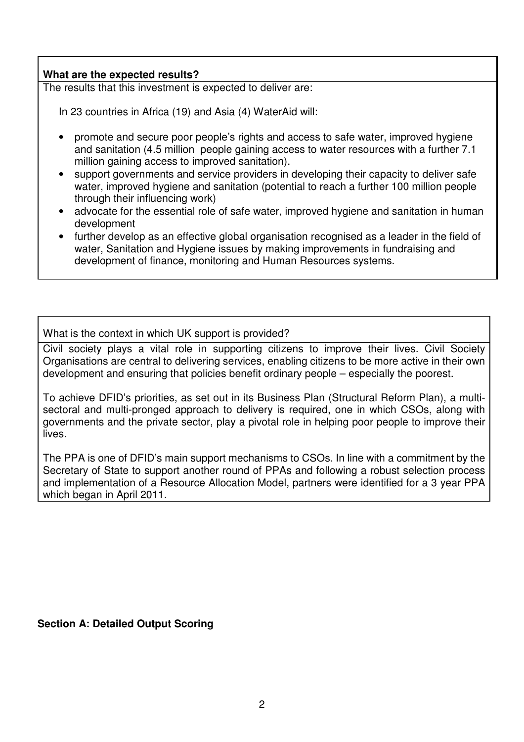#### **What are the expected results?**

The results that this investment is expected to deliver are:

In 23 countries in Africa (19) and Asia (4) WaterAid will:

- promote and secure poor people's rights and access to safe water, improved hygiene and sanitation (4.5 million people gaining access to water resources with a further 7.1 million gaining access to improved sanitation).
- support governments and service providers in developing their capacity to deliver safe water, improved hygiene and sanitation (potential to reach a further 100 million people through their influencing work)
- advocate for the essential role of safe water, improved hygiene and sanitation in human development
- further develop as an effective global organisation recognised as a leader in the field of water, Sanitation and Hygiene issues by making improvements in fundraising and development of finance, monitoring and Human Resources systems.

#### What is the context in which UK support is provided?

Civil society plays a vital role in supporting citizens to improve their lives. Civil Society Organisations are central to delivering services, enabling citizens to be more active in their own development and ensuring that policies benefit ordinary people – especially the poorest.

To achieve DFID's priorities, as set out in its Business Plan (Structural Reform Plan), a multisectoral and multi-pronged approach to delivery is required, one in which CSOs, along with governments and the private sector, play a pivotal role in helping poor people to improve their lives.

The PPA is one of DFID's main support mechanisms to CSOs. In line with a commitment by the Secretary of State to support another round of PPAs and following a robust selection process and implementation of a Resource Allocation Model, partners were identified for a 3 year PPA which began in April 2011.

#### **Section A: Detailed Output Scoring**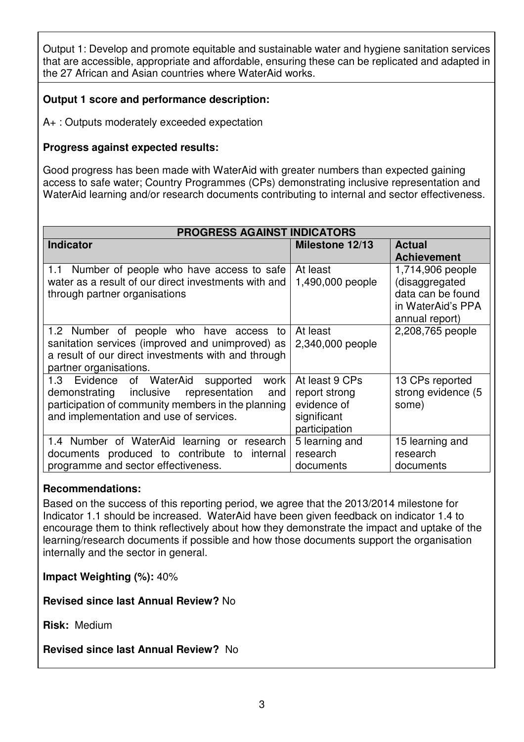Output 1: Develop and promote equitable and sustainable water and hygiene sanitation services that are accessible, appropriate and affordable, ensuring these can be replicated and adapted in the 27 African and Asian countries where WaterAid works.

## **Output 1 score and performance description:**

A+ : Outputs moderately exceeded expectation

### **Progress against expected results:**

Good progress has been made with WaterAid with greater numbers than expected gaining access to safe water; Country Programmes (CPs) demonstrating inclusive representation and WaterAid learning and/or research documents contributing to internal and sector effectiveness.

| <b>PROGRESS AGAINST INDICATORS</b>                                                                                                                                                                       |                                                                                |                                                                                                |
|----------------------------------------------------------------------------------------------------------------------------------------------------------------------------------------------------------|--------------------------------------------------------------------------------|------------------------------------------------------------------------------------------------|
| <b>Indicator</b>                                                                                                                                                                                         | <b>Milestone 12/13</b>                                                         | <b>Actual</b><br><b>Achievement</b>                                                            |
| 1.1 Number of people who have access to safe<br>water as a result of our direct investments with and<br>through partner organisations                                                                    | At least<br>1,490,000 people                                                   | 1,714,906 people<br>(disaggregated<br>data can be found<br>in WaterAid's PPA<br>annual report) |
| 1.2 Number of people who have access to<br>sanitation services (improved and unimproved) as<br>a result of our direct investments with and through<br>partner organisations.                             | At least<br>2,340,000 people                                                   | 2,208,765 people                                                                               |
| of WaterAid<br>Evidence<br>1.3<br>supported<br>work<br>demonstrating inclusive<br>representation<br>and<br>participation of community members in the planning<br>and implementation and use of services. | At least 9 CPs<br>report strong<br>evidence of<br>significant<br>participation | 13 CPs reported<br>strong evidence (5<br>some)                                                 |
| 1.4 Number of WaterAid learning or research<br>documents produced to contribute to<br>internal<br>programme and sector effectiveness.                                                                    | 5 learning and<br>research<br>documents                                        | 15 learning and<br>research<br>documents                                                       |

#### **Recommendations:**

Based on the success of this reporting period, we agree that the 2013/2014 milestone for Indicator 1.1 should be increased. WaterAid have been given feedback on indicator 1.4 to encourage them to think reflectively about how they demonstrate the impact and uptake of the learning/research documents if possible and how those documents support the organisation internally and the sector in general.

**Impact Weighting (%):** 40%

**Revised since last Annual Review?** No

**Risk:** Medium

**Revised since last Annual Review?** No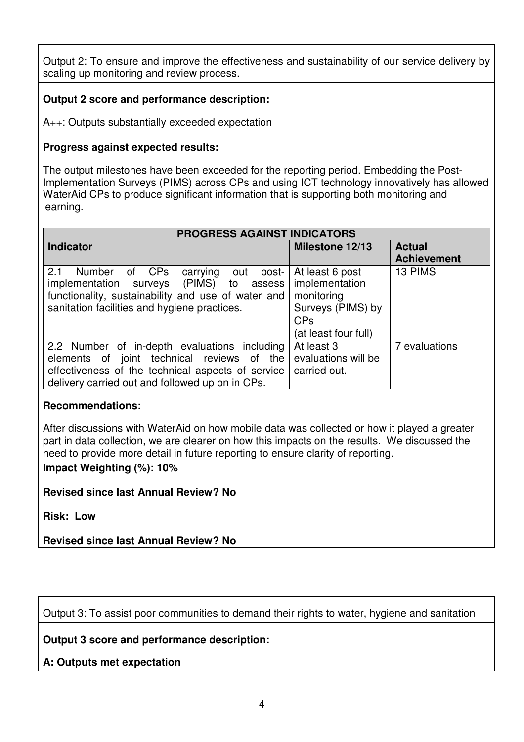Output 2: To ensure and improve the effectiveness and sustainability of our service delivery by scaling up monitoring and review process.

## **Output 2 score and performance description:**

A++: Outputs substantially exceeded expectation

### **Progress against expected results:**

The output milestones have been exceeded for the reporting period. Embedding the Post-Implementation Surveys (PIMS) across CPs and using ICT technology innovatively has allowed WaterAid CPs to produce significant information that is supporting both monitoring and learning.

| PROGRESS AGAINST INDICATORS                                                                                                                                                                        |                                                                                                                       |                                     |
|----------------------------------------------------------------------------------------------------------------------------------------------------------------------------------------------------|-----------------------------------------------------------------------------------------------------------------------|-------------------------------------|
| Indicator                                                                                                                                                                                          | Milestone 12/13                                                                                                       | <b>Actual</b><br><b>Achievement</b> |
| 2.1<br>Number of CPs<br>carrying out<br>post-<br>implementation surveys (PIMS) to assess<br>functionality, sustainability and use of water and<br>sanitation facilities and hygiene practices.     | At least 6 post<br>implementation<br>monitoring<br>Surveys (PIMS) by<br><b>CP<sub>s</sub></b><br>(at least four full) | 13 PIMS                             |
| 2.2 Number of in-depth evaluations including<br>elements of joint technical reviews of the<br>effectiveness of the technical aspects of service<br>delivery carried out and followed up on in CPs. | At least 3<br>evaluations will be<br>carried out.                                                                     | 7 evaluations                       |

#### **Recommendations:**

After discussions with WaterAid on how mobile data was collected or how it played a greater part in data collection, we are clearer on how this impacts on the results. We discussed the need to provide more detail in future reporting to ensure clarity of reporting. **Impact Weighting (%): 10%** 

**Revised since last Annual Review? No**

**Risk: Low** 

**Revised since last Annual Review? No** 

Output 3: To assist poor communities to demand their rights to water, hygiene and sanitation

**Output 3 score and performance description:** 

**A: Outputs met expectation**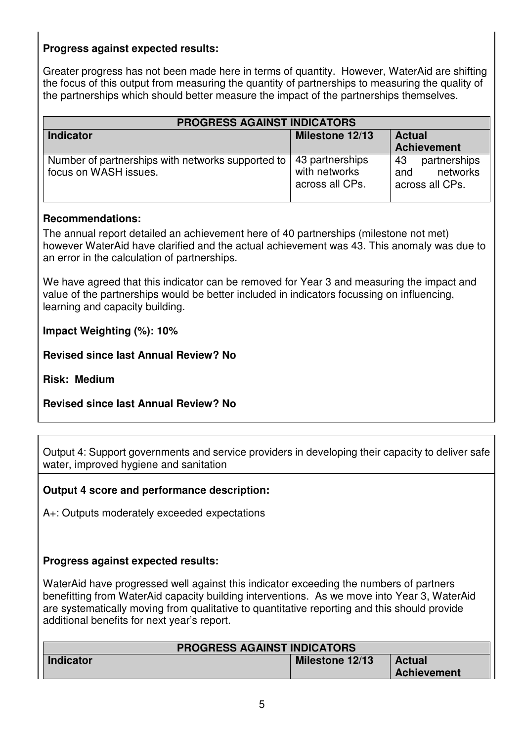## **Progress against expected results:**

Greater progress has not been made here in terms of quantity. However, WaterAid are shifting the focus of this output from measuring the quantity of partnerships to measuring the quality of the partnerships which should better measure the impact of the partnerships themselves.

| <b>PROGRESS AGAINST INDICATORS</b>                                         |                                                     |                                                          |
|----------------------------------------------------------------------------|-----------------------------------------------------|----------------------------------------------------------|
| <b>Indicator</b>                                                           | Milestone 12/13                                     | <b>Actual</b><br><b>Achievement</b>                      |
| Number of partnerships with networks supported to<br>focus on WASH issues. | 43 partnerships<br>with networks<br>across all CPs. | partnerships<br>43<br>networks<br>and<br>across all CPs. |

#### **Recommendations:**

The annual report detailed an achievement here of 40 partnerships (milestone not met) however WaterAid have clarified and the actual achievement was 43. This anomaly was due to an error in the calculation of partnerships.

We have agreed that this indicator can be removed for Year 3 and measuring the impact and value of the partnerships would be better included in indicators focussing on influencing, learning and capacity building.

**Impact Weighting (%): 10%** 

**Revised since last Annual Review? No**

**Risk: Medium** 

**Revised since last Annual Review? No** 

Output 4: Support governments and service providers in developing their capacity to deliver safe water, improved hygiene and sanitation

#### **Output 4 score and performance description:**

A+: Outputs moderately exceeded expectations

#### **Progress against expected results:**

WaterAid have progressed well against this indicator exceeding the numbers of partners benefitting from WaterAid capacity building interventions. As we move into Year 3, WaterAid are systematically moving from qualitative to quantitative reporting and this should provide additional benefits for next year's report.

| <b>PROGRESS AGAINST INDICATORS</b> |                 |                    |
|------------------------------------|-----------------|--------------------|
| <b>Indicator</b>                   | Milestone 12/13 | <b>Actual</b>      |
|                                    |                 | <b>Achievement</b> |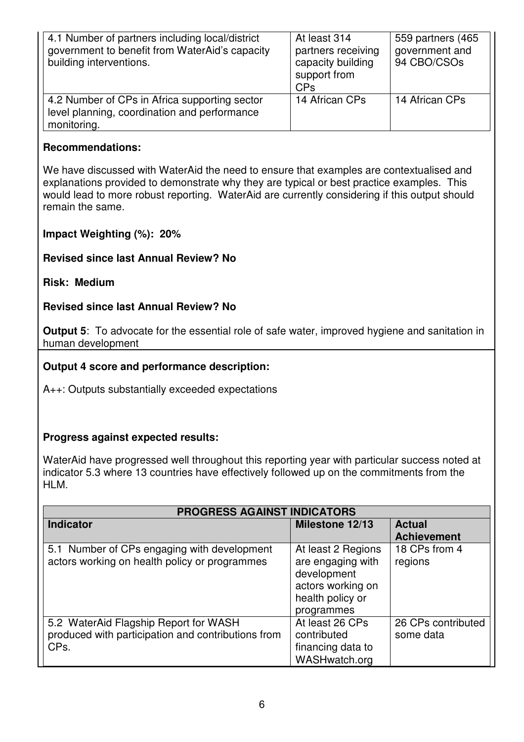| 4.1 Number of partners including local/district<br>government to benefit from WaterAid's capacity<br>building interventions. | At least 314<br>partners receiving<br>capacity building<br>support from<br><b>CPs</b> | 559 partners (465)<br>government and<br>94 CBO/CSOs |
|------------------------------------------------------------------------------------------------------------------------------|---------------------------------------------------------------------------------------|-----------------------------------------------------|
| 4.2 Number of CPs in Africa supporting sector<br>level planning, coordination and performance<br>monitoring.                 | 14 African CPs                                                                        | 14 African CPs                                      |

#### **Recommendations:**

We have discussed with WaterAid the need to ensure that examples are contextualised and explanations provided to demonstrate why they are typical or best practice examples. This would lead to more robust reporting. WaterAid are currently considering if this output should remain the same.

#### **Impact Weighting (%): 20%**

## **Revised since last Annual Review? No**

#### **Risk: Medium**

#### **Revised since last Annual Review? No**

**Output 5**: To advocate for the essential role of safe water, improved hygiene and sanitation in human development

#### **Output 4 score and performance description:**

A++: Outputs substantially exceeded expectations

#### **Progress against expected results:**

WaterAid have progressed well throughout this reporting year with particular success noted at indicator 5.3 where 13 countries have effectively followed up on the commitments from the HLM.

| <b>PROGRESS AGAINST INDICATORS</b>                 |                    |                    |
|----------------------------------------------------|--------------------|--------------------|
| <b>Indicator</b>                                   | Milestone 12/13    | <b>Actual</b>      |
|                                                    |                    | <b>Achievement</b> |
| 5.1 Number of CPs engaging with development        | At least 2 Regions | 18 CPs from 4      |
| actors working on health policy or programmes      | are engaging with  | regions            |
|                                                    | development        |                    |
|                                                    | actors working on  |                    |
|                                                    | health policy or   |                    |
|                                                    | programmes         |                    |
| 5.2 WaterAid Flagship Report for WASH              | At least 26 CPs    | 26 CPs contributed |
| produced with participation and contributions from | contributed        | some data          |
| CPs.                                               | financing data to  |                    |
|                                                    | WASHwatch.org      |                    |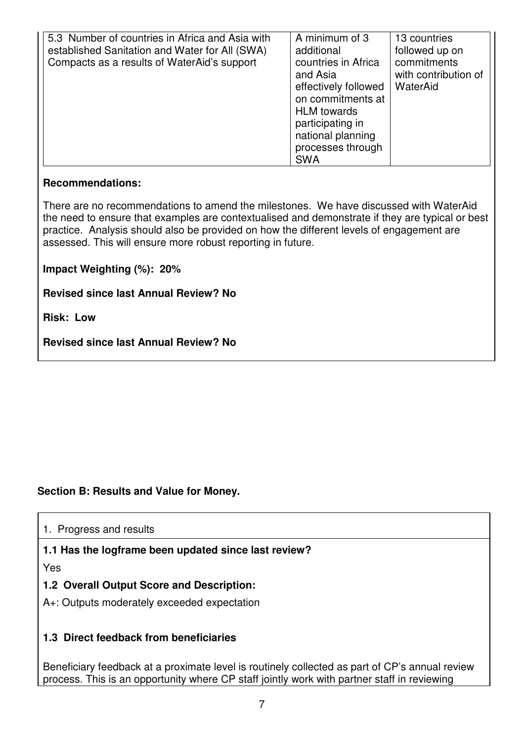| 5.3 Number of countries in Africa and Asia with<br>established Sanitation and Water for All (SWA)<br>Compacts as a results of WaterAid's support | A minimum of 3<br>additional<br>countries in Africa<br>and Asia<br>effectively followed<br>on commitments at | 13 countries<br>followed up on<br>commitments<br>with contribution of<br>WaterAid |
|--------------------------------------------------------------------------------------------------------------------------------------------------|--------------------------------------------------------------------------------------------------------------|-----------------------------------------------------------------------------------|
|                                                                                                                                                  | <b>HLM</b> towards<br>participating in<br>national planning<br>processes through                             |                                                                                   |
|                                                                                                                                                  | <b>SWA</b>                                                                                                   |                                                                                   |

#### **Recommendations:**

There are no recommendations to amend the milestones. We have discussed with WaterAid the need to ensure that examples are contextualised and demonstrate if they are typical or best practice. Analysis should also be provided on how the different levels of engagement are assessed. This will ensure more robust reporting in future.

#### **Impact Weighting (%): 20%**

**Revised since last Annual Review? No**

**Risk: Low** 

**Revised since last Annual Review? No** 

## **Section B: Results and Value for Money.**

1. Progress and results

#### **1.1 Has the logframe been updated since last review?**

Yes

## **1.2 Overall Output Score and Description:**

A+: Outputs moderately exceeded expectation

## **1.3 Direct feedback from beneficiaries**

Beneficiary feedback at a proximate level is routinely collected as part of CP's annual review process. This is an opportunity where CP staff jointly work with partner staff in reviewing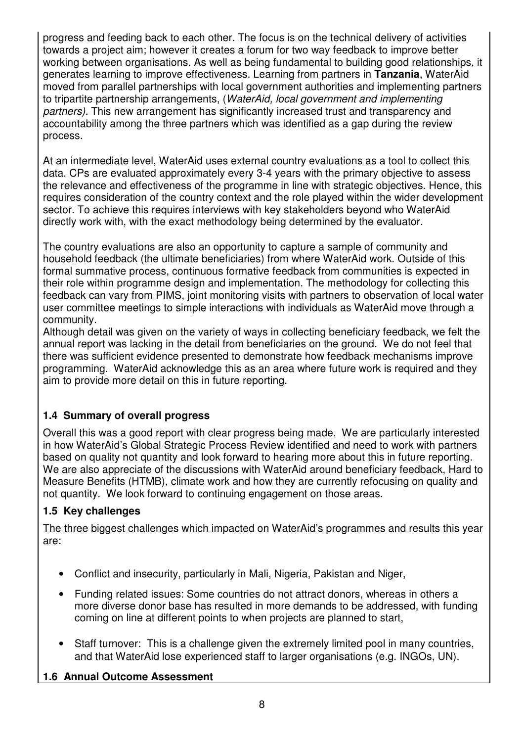progress and feeding back to each other. The focus is on the technical delivery of activities towards a project aim; however it creates a forum for two way feedback to improve better working between organisations. As well as being fundamental to building good relationships, it generates learning to improve effectiveness. Learning from partners in **Tanzania**, WaterAid moved from parallel partnerships with local government authorities and implementing partners to tripartite partnership arrangements, (*WaterAid, local government and implementing partners).* This new arrangement has significantly increased trust and transparency and accountability among the three partners which was identified as a gap during the review process.

At an intermediate level, WaterAid uses external country evaluations as a tool to collect this data. CPs are evaluated approximately every 3-4 years with the primary objective to assess the relevance and effectiveness of the programme in line with strategic objectives. Hence, this requires consideration of the country context and the role played within the wider development sector. To achieve this requires interviews with key stakeholders beyond who WaterAid directly work with, with the exact methodology being determined by the evaluator.

The country evaluations are also an opportunity to capture a sample of community and household feedback (the ultimate beneficiaries) from where WaterAid work. Outside of this formal summative process, continuous formative feedback from communities is expected in their role within programme design and implementation. The methodology for collecting this feedback can vary from PIMS, joint monitoring visits with partners to observation of local water user committee meetings to simple interactions with individuals as WaterAid move through a community.

Although detail was given on the variety of ways in collecting beneficiary feedback, we felt the annual report was lacking in the detail from beneficiaries on the ground. We do not feel that there was sufficient evidence presented to demonstrate how feedback mechanisms improve programming. WaterAid acknowledge this as an area where future work is required and they aim to provide more detail on this in future reporting.

## **1.4 Summary of overall progress**

Overall this was a good report with clear progress being made. We are particularly interested in how WaterAid's Global Strategic Process Review identified and need to work with partners based on quality not quantity and look forward to hearing more about this in future reporting. We are also appreciate of the discussions with WaterAid around beneficiary feedback, Hard to Measure Benefits (HTMB), climate work and how they are currently refocusing on quality and not quantity. We look forward to continuing engagement on those areas.

## **1.5 Key challenges**

The three biggest challenges which impacted on WaterAid's programmes and results this year are:

- Conflict and insecurity, particularly in Mali, Nigeria, Pakistan and Niger,
- Funding related issues: Some countries do not attract donors, whereas in others a more diverse donor base has resulted in more demands to be addressed, with funding coming on line at different points to when projects are planned to start,
- Staff turnover: This is a challenge given the extremely limited pool in many countries, and that WaterAid lose experienced staff to larger organisations (e.g. INGOs, UN).

## **1.6 Annual Outcome Assessment**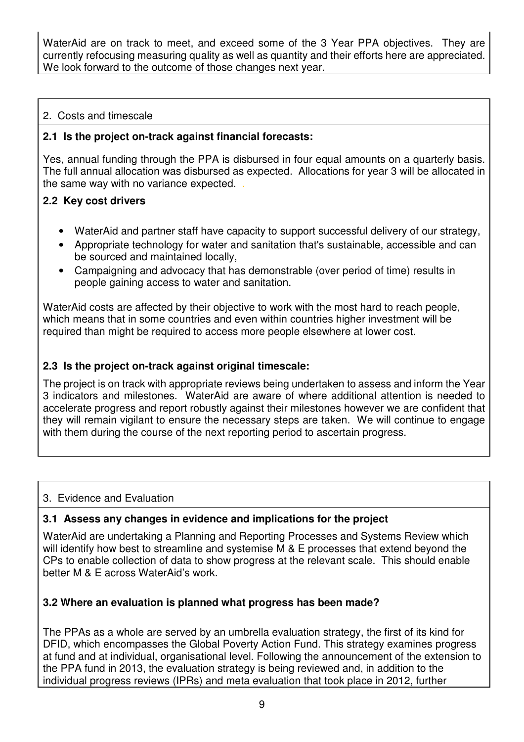WaterAid are on track to meet, and exceed some of the 3 Year PPA objectives. They are currently refocusing measuring quality as well as quantity and their efforts here are appreciated. We look forward to the outcome of those changes next year.

### 2. Costs and timescale

#### **2.1 Is the project on-track against financial forecasts:**

Yes, annual funding through the PPA is disbursed in four equal amounts on a quarterly basis. The full annual allocation was disbursed as expected. Allocations for year 3 will be allocated in the same way with no variance expected. .

#### **2.2 Key cost drivers**

- WaterAid and partner staff have capacity to support successful delivery of our strategy,
- Appropriate technology for water and sanitation that's sustainable, accessible and can be sourced and maintained locally,
- Campaigning and advocacy that has demonstrable (over period of time) results in people gaining access to water and sanitation.

WaterAid costs are affected by their objective to work with the most hard to reach people, which means that in some countries and even within countries higher investment will be required than might be required to access more people elsewhere at lower cost.

#### **2.3 Is the project on-track against original timescale:**

The project is on track with appropriate reviews being undertaken to assess and inform the Year 3 indicators and milestones. WaterAid are aware of where additional attention is needed to accelerate progress and report robustly against their milestones however we are confident that they will remain vigilant to ensure the necessary steps are taken. We will continue to engage with them during the course of the next reporting period to ascertain progress.

#### 3. Evidence and Evaluation

#### **3.1 Assess any changes in evidence and implications for the project**

WaterAid are undertaking a Planning and Reporting Processes and Systems Review which will identify how best to streamline and systemise M & E processes that extend beyond the CPs to enable collection of data to show progress at the relevant scale. This should enable better M & E across WaterAid's work.

#### **3.2 Where an evaluation is planned what progress has been made?**

The PPAs as a whole are served by an umbrella evaluation strategy, the first of its kind for DFID, which encompasses the Global Poverty Action Fund. This strategy examines progress at fund and at individual, organisational level. Following the announcement of the extension to the PPA fund in 2013, the evaluation strategy is being reviewed and, in addition to the individual progress reviews (IPRs) and meta evaluation that took place in 2012, further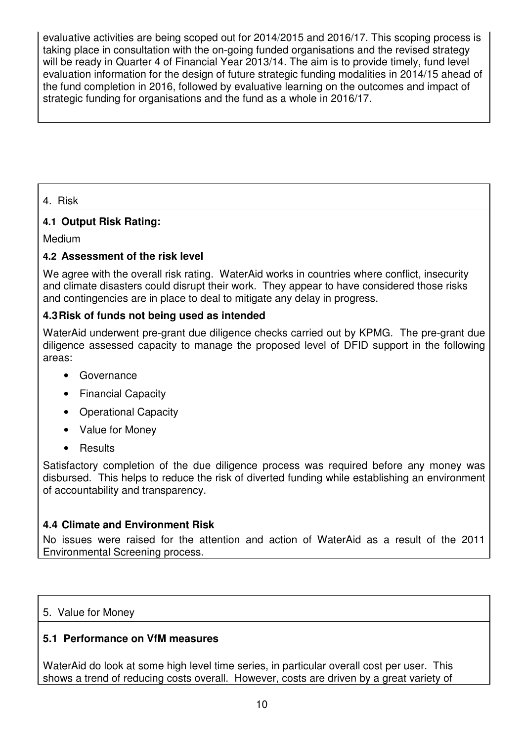evaluative activities are being scoped out for 2014/2015 and 2016/17. This scoping process is taking place in consultation with the on-going funded organisations and the revised strategy will be ready in Quarter 4 of Financial Year 2013/14. The aim is to provide timely, fund level evaluation information for the design of future strategic funding modalities in 2014/15 ahead of the fund completion in 2016, followed by evaluative learning on the outcomes and impact of strategic funding for organisations and the fund as a whole in 2016/17.

4. Risk

## **4.1 Output Risk Rating:**

Medium

## **4.2 Assessment of the risk level**

We agree with the overall risk rating. WaterAid works in countries where conflict, insecurity and climate disasters could disrupt their work. They appear to have considered those risks and contingencies are in place to deal to mitigate any delay in progress.

## **4.3 Risk of funds not being used as intended**

WaterAid underwent pre-grant due diligence checks carried out by KPMG. The pre-grant due diligence assessed capacity to manage the proposed level of DFID support in the following areas:

- Governance
- Financial Capacity
- Operational Capacity
- Value for Money
- Results

Satisfactory completion of the due diligence process was required before any money was disbursed. This helps to reduce the risk of diverted funding while establishing an environment of accountability and transparency.

## **4.4 Climate and Environment Risk**

No issues were raised for the attention and action of WaterAid as a result of the 2011 Environmental Screening process.

## 5. Value for Money

## **5.1 Performance on VfM measures**

WaterAid do look at some high level time series, in particular overall cost per user. This shows a trend of reducing costs overall. However, costs are driven by a great variety of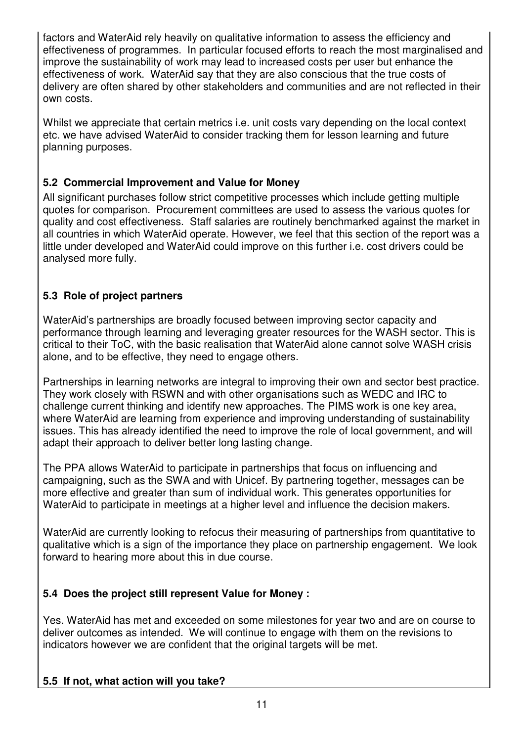factors and WaterAid rely heavily on qualitative information to assess the efficiency and effectiveness of programmes. In particular focused efforts to reach the most marginalised and improve the sustainability of work may lead to increased costs per user but enhance the effectiveness of work. WaterAid say that they are also conscious that the true costs of delivery are often shared by other stakeholders and communities and are not reflected in their own costs.

Whilst we appreciate that certain metrics i.e. unit costs vary depending on the local context etc. we have advised WaterAid to consider tracking them for lesson learning and future planning purposes.

## **5.2 Commercial Improvement and Value for Money**

All significant purchases follow strict competitive processes which include getting multiple quotes for comparison. Procurement committees are used to assess the various quotes for quality and cost effectiveness. Staff salaries are routinely benchmarked against the market in all countries in which WaterAid operate. However, we feel that this section of the report was a little under developed and WaterAid could improve on this further i.e. cost drivers could be analysed more fully.

## **5.3 Role of project partners**

WaterAid's partnerships are broadly focused between improving sector capacity and performance through learning and leveraging greater resources for the WASH sector. This is critical to their ToC, with the basic realisation that WaterAid alone cannot solve WASH crisis alone, and to be effective, they need to engage others.

Partnerships in learning networks are integral to improving their own and sector best practice. They work closely with RSWN and with other organisations such as WEDC and IRC to challenge current thinking and identify new approaches. The PIMS work is one key area, where WaterAid are learning from experience and improving understanding of sustainability issues. This has already identified the need to improve the role of local government, and will adapt their approach to deliver better long lasting change.

The PPA allows WaterAid to participate in partnerships that focus on influencing and campaigning, such as the SWA and with Unicef. By partnering together, messages can be more effective and greater than sum of individual work. This generates opportunities for WaterAid to participate in meetings at a higher level and influence the decision makers.

WaterAid are currently looking to refocus their measuring of partnerships from quantitative to qualitative which is a sign of the importance they place on partnership engagement. We look forward to hearing more about this in due course.

## **5.4 Does the project still represent Value for Money :**

Yes. WaterAid has met and exceeded on some milestones for year two and are on course to deliver outcomes as intended.We will continue to engage with them on the revisions to indicators however we are confident that the original targets will be met.

## **5.5 If not, what action will you take?**